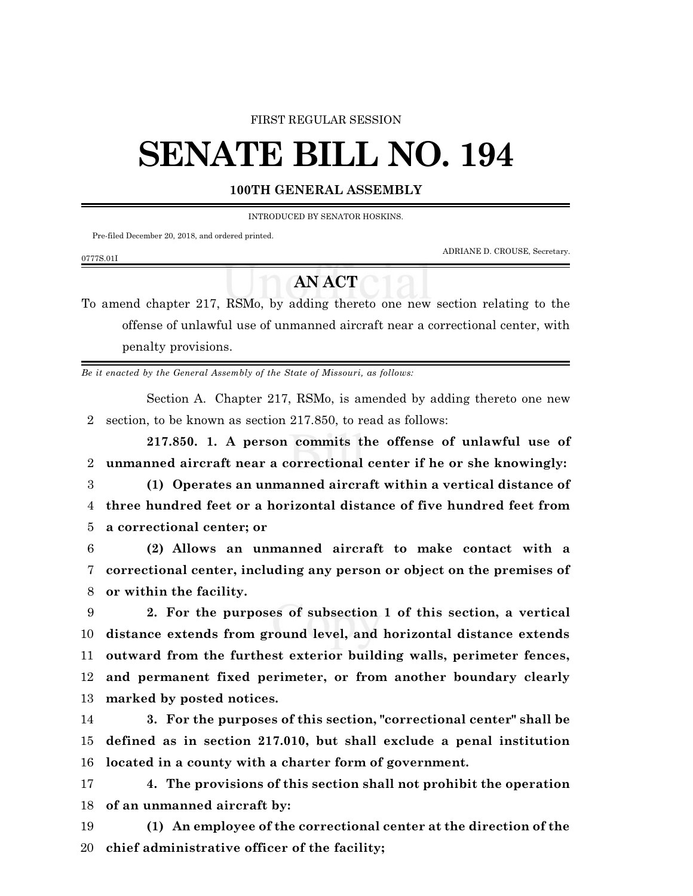#### FIRST REGULAR SESSION

# **SENATE BILL NO. 194**

### **100TH GENERAL ASSEMBLY**

INTRODUCED BY SENATOR HOSKINS.

Pre-filed December 20, 2018, and ordered printed.

ADRIANE D. CROUSE, Secretary.

#### 0777S.01I

## **AN ACT**

To amend chapter 217, RSMo, by adding thereto one new section relating to the offense of unlawful use of unmanned aircraft near a correctional center, with penalty provisions.

*Be it enacted by the General Assembly of the State of Missouri, as follows:*

Section A. Chapter 217, RSMo, is amended by adding thereto one new 2 section, to be known as section 217.850, to read as follows:

**217.850. 1. A person commits the offense of unlawful use of unmanned aircraft near a correctional center if he or she knowingly: (1) Operates an unmanned aircraft within a vertical distance of three hundred feet or a horizontal distance of five hundred feet from a correctional center; or**

6 **(2) Allows an unmanned aircraft to make contact with a** 7 **correctional center, including any person or object on the premises of** 8 **or within the facility.**

 **2. For the purposes of subsection 1 of this section, a vertical distance extends from ground level, and horizontal distance extends outward from the furthest exterior building walls, perimeter fences, and permanent fixed perimeter, or from another boundary clearly marked by posted notices.**

14 **3. For the purposes of this section, "correctional center" shall be** 15 **defined as in section 217.010, but shall exclude a penal institution** 16 **located in a county with a charter form of government.**

17 **4. The provisions of this section shall not prohibit the operation** 18 **of an unmanned aircraft by:**

19 **(1) An employee of the correctional center at the direction of the** 20 **chief administrative officer of the facility;**